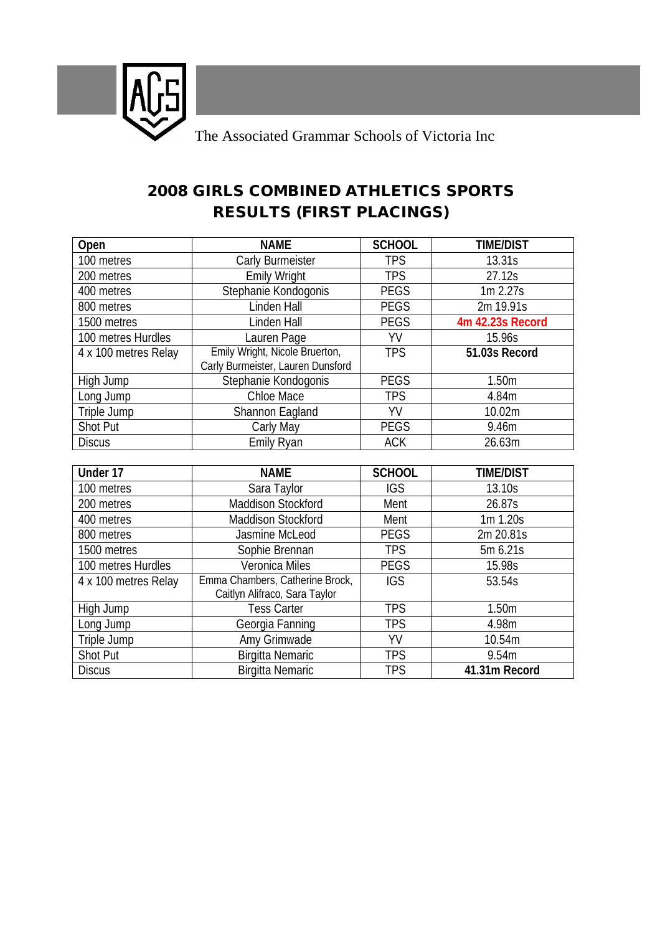

## **2008 GIRLS COMBINED ATHLETICS SPORTS RESULTS (FIRST PLACINGS)**

| Open                 | <b>NAME</b>                                                         | <b>SCHOOL</b> | <b>TIME/DIST</b> |
|----------------------|---------------------------------------------------------------------|---------------|------------------|
| 100 metres           | Carly Burmeister                                                    | <b>TPS</b>    | 13.31s           |
| 200 metres           | <b>Emily Wright</b>                                                 | <b>TPS</b>    | 27.12s           |
| 400 metres           | Stephanie Kondogonis                                                | <b>PEGS</b>   | 1m 2.27s         |
| 800 metres           | Linden Hall                                                         | <b>PEGS</b>   | 2m 19.91s        |
| 1500 metres          | Linden Hall                                                         | <b>PEGS</b>   | 4m 42.23s Record |
| 100 metres Hurdles   | Lauren Page                                                         | YV            | 15.96s           |
| 4 x 100 metres Relay | Emily Wright, Nicole Bruerton,<br>Carly Burmeister, Lauren Dunsford | <b>TPS</b>    | 51.03s Record    |
| High Jump            | Stephanie Kondogonis                                                | <b>PEGS</b>   | 1.50m            |
| Long Jump            | Chloe Mace                                                          | TPS           | 4.84m            |
| Triple Jump          | Shannon Eagland                                                     | YV            | 10.02m           |
| <b>Shot Put</b>      | Carly May                                                           | <b>PEGS</b>   | 9.46m            |
| <b>Discus</b>        | Emily Ryan                                                          | <b>ACK</b>    | 26.63m           |
|                      |                                                                     |               |                  |
| Under 17             | <b>NAME</b>                                                         | <b>SCHOOL</b> | <b>TIME/DIST</b> |
| 100 metres           | Sara Taylor                                                         | <b>IGS</b>    | 13.10s           |
| 200 metres           | <b>Maddison Stockford</b>                                           | Ment          | 26.87s           |
| 400 metres           | <b>Maddison Stockford</b>                                           | Ment          | 1m 1.20s         |
| 800 metres           | Jasmine McLeod                                                      | <b>PEGS</b>   | 2m 20.81s        |
| 1500 metres          | Sophie Brennan                                                      | <b>TPS</b>    | 5m 6.21s         |
| 100 metres Hurdles   | Veronica Miles                                                      | <b>PEGS</b>   | 15.98s           |
| 4 x 100 metres Relay | Emma Chambers, Catherine Brock,                                     | <b>IGS</b>    | 53.54s           |

Caitlyn Alifraco, Sara Taylor

High Jump Tess Carter TPS 7.50m Long Jump Georgia Fanning TPS 4.98m Triple Jump amy Grimwade  $\overline{Y}$  amy Grimwade  $\overline{Y}$  and  $\overline{Y}$  10.54m Shot Put Birgitta Nemaric TPS 9.54m Discus Birgitta Nemaric TPS **41.31m Record**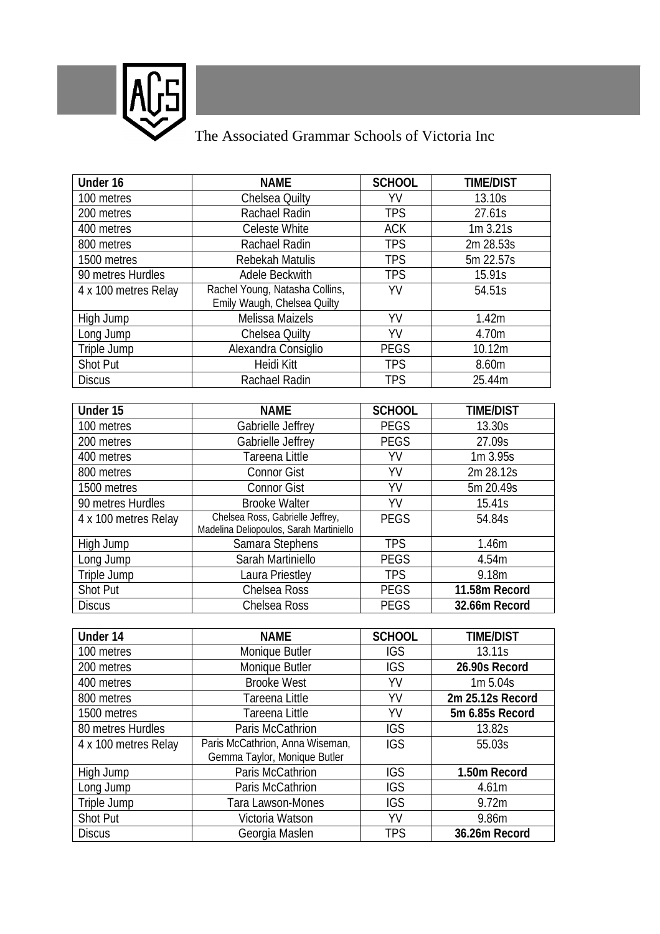

## The Associated Grammar Schools of Victoria Inc

| Under 16             | <b>NAME</b>                                                                 | <b>SCHOOL</b> | <b>TIME/DIST</b> |
|----------------------|-----------------------------------------------------------------------------|---------------|------------------|
| 100 metres           | Chelsea Quilty                                                              | YV            | 13.10s           |
| 200 metres           | Rachael Radin                                                               | <b>TPS</b>    | 27.61s           |
| 400 metres           | Celeste White                                                               | <b>ACK</b>    | $1m$ 3.21s       |
| 800 metres           | Rachael Radin                                                               | <b>TPS</b>    | 2m 28.53s        |
| 1500 metres          | Rebekah Matulis                                                             | <b>TPS</b>    | 5m 22.57s        |
| 90 metres Hurdles    | Adele Beckwith                                                              | <b>TPS</b>    | 15.91s           |
| 4 x 100 metres Relay | Rachel Young, Natasha Collins,                                              | YV            | 54.51s           |
|                      | Emily Waugh, Chelsea Quilty                                                 |               |                  |
| High Jump            | <b>Melissa Maizels</b>                                                      | YV            | 1.42m            |
| Long Jump            | Chelsea Quilty                                                              | YV            | 4.70m            |
| Triple Jump          | Alexandra Consiglio                                                         | <b>PEGS</b>   | 10.12m           |
| Shot Put             | Heidi Kitt                                                                  | <b>TPS</b>    | 8.60m            |
| <b>Discus</b>        | Rachael Radin                                                               | <b>TPS</b>    | 25.44m           |
|                      |                                                                             |               |                  |
| Under 15             | <b>NAME</b>                                                                 | <b>SCHOOL</b> | <b>TIME/DIST</b> |
| 100 metres           | Gabrielle Jeffrey                                                           | <b>PEGS</b>   | 13.30s           |
| 200 metres           | Gabrielle Jeffrey                                                           | <b>PEGS</b>   | 27.09s           |
| 400 metres           | Tareena Little                                                              | YV            | 1m 3.95s         |
| 800 metres           | <b>Connor Gist</b>                                                          | YV            | 2m 28.12s        |
| 1500 metres          | <b>Connor Gist</b>                                                          | YV            | 5m 20.49s        |
| 90 metres Hurdles    | <b>Brooke Walter</b>                                                        | YV            | 15.41s           |
| 4 x 100 metres Relay | Chelsea Ross, Gabrielle Jeffrey,<br>Madelina Deliopoulos, Sarah Martiniello | <b>PEGS</b>   | 54.84s           |
| High Jump            | Samara Stephens                                                             | <b>TPS</b>    | 1.46m            |
| Long Jump            | Sarah Martiniello                                                           | <b>PEGS</b>   | 4.54m            |
| Triple Jump          | Laura Priestley                                                             | <b>TPS</b>    | 9.18m            |
| Shot Put             | Chelsea Ross                                                                | <b>PEGS</b>   | 11.58m Record    |
| <b>Discus</b>        | Chelsea Ross                                                                | <b>PEGS</b>   | 32.66m Record    |
|                      |                                                                             |               |                  |
| Under 14             | <b>NAME</b>                                                                 | <b>SCHOOL</b> | <b>TIME/DIST</b> |
| 100 metres           | Monique Butler                                                              | <b>IGS</b>    | 13.11s           |
| 200 metres           | Monique Butler                                                              | IGS           | 26.90s Record    |
| 400 metres           | <b>Brooke West</b>                                                          | YV            | 1m 5.04s         |
| 800 metres           | Tareena Little                                                              | YV            | 2m 25.12s Record |
| 1500 metres          | Tareena Little                                                              | YV            | 5m 6.85s Record  |
| 80 metres Hurdles    | Paris McCathrion                                                            | <b>IGS</b>    | 13.82s           |
| 4 x 100 metres Relay | Paris McCathrion, Anna Wiseman,                                             | <b>IGS</b>    | 55.03s           |
|                      | Gemma Taylor, Monique Butler                                                |               |                  |
| High Jump            | Paris McCathrion                                                            | <b>IGS</b>    | 1.50m Record     |
| Long Jump            | Paris McCathrion                                                            | <b>IGS</b>    | 4.61m            |
| Triple Jump          | Tara Lawson-Mones                                                           | <b>IGS</b>    | 9.72m            |
| <b>Shot Put</b>      | Victoria Watson                                                             | YV            | 9.86m            |
| <b>Discus</b>        | Georgia Maslen                                                              | TPS           | 36.26m Record    |